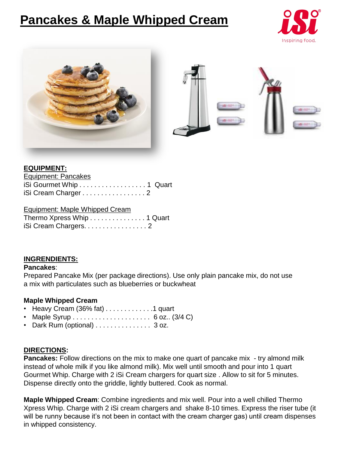# **Pancakes & Maple Whipped Cream**





#### **EQUIPMENT:**

| <b>Equipment: Pancakes</b> |  |
|----------------------------|--|
| iSi Gourmet Whip 1 Quart   |  |
| iSi Cream Charger 2        |  |

#### Equipment: Maple Whipped Cream Thermo Xpress Whip . . . . . . . . . . . . . . . 1 Quart iSi Cream Chargers. . . . . . . . . . . . . . . . . 2

### **INGRENDIENTS:**

#### **Pancakes**:

Prepared Pancake Mix (per package directions). Use only plain pancake mix, do not use a mix with particulates such as blueberries or buckwheat

### **Maple Whipped Cream**

- Heavy Cream  $(36\% \text{ fat})$ ............1 quart
- Maple Syrup . . . . . . . . . . . . . . . . . . . . . 6 oz.. (3/4 C)
- Dark Rum (optional) . . . . . . . . . . . . . . 3 oz.

### **DIRECTIONS:**

**Pancakes:** Follow directions on the mix to make one quart of pancake mix - try almond milk instead of whole milk if you like almond milk). Mix well until smooth and pour into 1 quart Gourmet Whip. Charge with 2 iSi Cream chargers for quart size . Allow to sit for 5 minutes. Dispense directly onto the griddle, lightly buttered. Cook as normal.

**Maple Whipped Cream**: Combine ingredients and mix well. Pour into a well chilled Thermo Xpress Whip. Charge with 2 iSi cream chargers and shake 8-10 times. Express the riser tube (it will be runny because it's not been in contact with the cream charger gas) until cream dispenses in whipped consistency.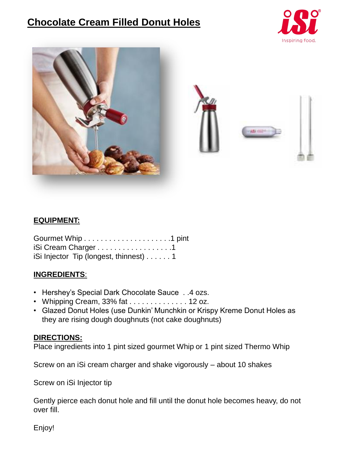# **Chocolate Cream Filled Donut Holes**





# **EQUIPMENT:**

| iSi Cream Charger 1                    |  |
|----------------------------------------|--|
| iSi Injector Tip (longest, thinnest) 1 |  |

# **INGREDIENTS**:

- Hershey's Special Dark Chocolate Sauce . .4 ozs.
- Whipping Cream, 33% fat . . . . . . . . . . . . . . 12 oz.
- Glazed Donut Holes (use Dunkin' Munchkin or Krispy Kreme Donut Holes as they are rising dough doughnuts (not cake doughnuts)

# **DIRECTIONS:**

Place ingredients into 1 pint sized gourmet Whip or 1 pint sized Thermo Whip

Screw on an iSi cream charger and shake vigorously – about 10 shakes

Screw on iSi Injector tip

Gently pierce each donut hole and fill until the donut hole becomes heavy, do not over fill.

Enjoy!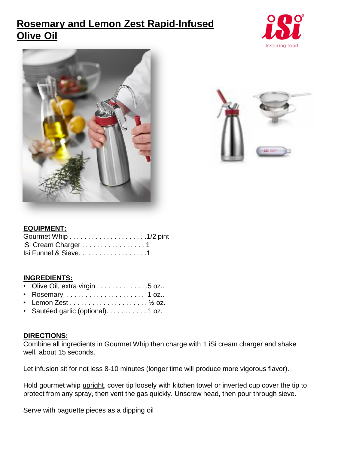# **Rosemary and Lemon Zest Rapid-Infused Olive Oil**







### **EQUIPMENT:**

| iSi Cream Charger 1   |  |
|-----------------------|--|
| Isi Funnel & Sieve. 1 |  |

### **INGREDIENTS:**

|  | • Olive Oil, extra virgin 5 oz |  |  |  |  |  |  |  |  |  |  |  |  |  |  |  |  |
|--|--------------------------------|--|--|--|--|--|--|--|--|--|--|--|--|--|--|--|--|
|--|--------------------------------|--|--|--|--|--|--|--|--|--|--|--|--|--|--|--|--|

- Rosemary . . . . . . . . . . . . . . . . . . . . . 1 oz..
- Lemon Zest  $\dots$ ....................  $\frac{1}{2}$  oz.
- Sautéed garlic (optional). . . . . . . . . . ..1 oz.

### **DIRECTIONS:**

Combine all ingredients in Gourmet Whip then charge with 1 iSi cream charger and shake well, about 15 seconds.

Let infusion sit for not less 8-10 minutes (longer time will produce more vigorous flavor).

Hold gourmet whip upright, cover tip loosely with kitchen towel or inverted cup cover the tip to protect from any spray, then vent the gas quickly. Unscrew head, then pour through sieve.

Serve with baguette pieces as a dipping oil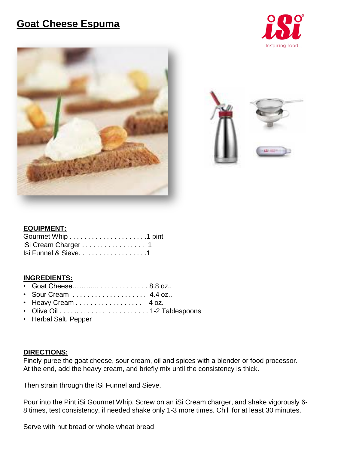# **Goat Cheese Espuma**







## **EQUIPMENT:**

| iSi Cream Charger 1   |  |
|-----------------------|--|
| Isi Funnel & Sieve. 1 |  |

#### **INGREDIENTS:**

- Goat Cheese………... . . . . . . . . . . . . . 8.8 oz..
- Sour Cream . . . . . . . . . . . . . . . . . . . . 4.4 oz..
- Heavy Cream . . . . . . . . . . . . . . . . 4 oz.
- Olive Oil . . . . .. . . . . . . . . . . . . . . . . . . 1-2 Tablespoons
- Herbal Salt, Pepper

#### **DIRECTIONS:**

Finely puree the goat cheese, sour cream, oil and spices with a blender or food processor. At the end, add the heavy cream, and briefly mix until the consistency is thick.

Then strain through the iSi Funnel and Sieve.

Pour into the Pint iSi Gourmet Whip. Screw on an iSi Cream charger, and shake vigorously 6- 8 times, test consistency, if needed shake only 1-3 more times. Chill for at least 30 minutes.

Serve with nut bread or whole wheat bread